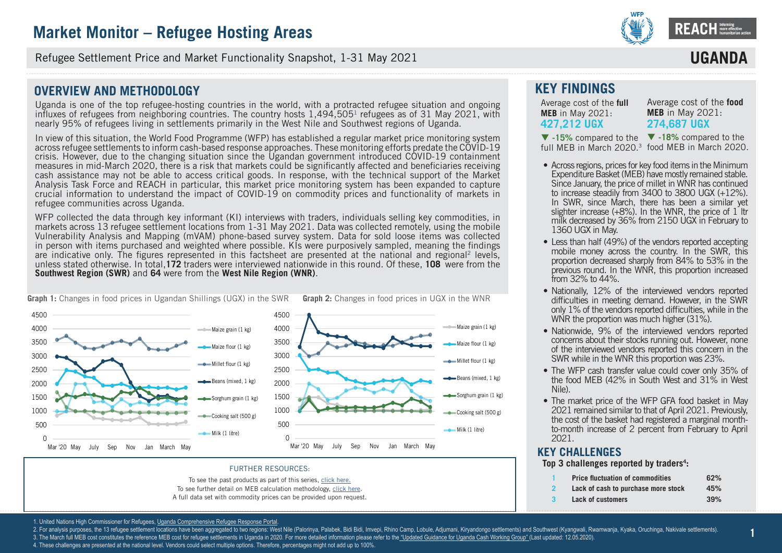

Refugee Settlement Price and Market Functionality Snapshot, 1-31 May 2021

## **OVERVIEW AND METHODOLOGY**

Uganda is one of the top refugee-hosting countries in the world, with a protracted refugee situation and ongoing influxes of refugees from neighboring countries. The country hosts 1,494,505<sup>1</sup> refugees as of 31 May 2021, with nearly 95% of refugees living in settlements primarily in the West Nile and Southwest regions of Uganda.

In view of this situation, the World Food Programme (WFP) has established a regular market price monitoring system across refugee settlements to inform cash-based response approaches. These monitoring efforts predate the COVID-19 crisis. However, due to the changing situation since the Ugandan government introduced COVID-19 containment measures in mid-March 2020, there is a risk that markets could be significantly affected and beneficiaries receiving cash assistance may not be able to access critical goods. In response, with the technical support of the Market Analysis Task Force and REACH in particular, this market price monitoring system has been expanded to capture crucial information to understand the impact of COVID-19 on commodity prices and functionality of markets in refugee communities across Uganda.

WFP collected the data through key informant (KI) interviews with traders, individuals selling key commodities, in markets across 13 refugee settlement locations from 1-31 May 2021. Data was collected remotely, using the mobile Vulnerability Analysis and Mapping (mVAM) phone-based survey system. Data for sold loose items was collected in person with items purchased and weighted where possible. KIs were purposively sampled, meaning the findings are indicative only. The figures represented in this factsheet are presented at the national and regional2 levels, unless stated otherwise. In total,**172** traders were interviewed nationwide in this round. Of these, **108** were from the **Southwest Region (SWR)** and **64** were from the **West Nile Region (WNR)**.



#### **Graph 1:** Changes in food prices in Ugandan Shillings (UGX) in the SWR **Graph 2:** Changes in food prices in UGX in the WNR

#### FURTHER RESOURCES:

To see the past products as part of this series, click here.

To see further detail on MEB calculation methodology, click here.

A full data set with commodity prices can be provided upon request.

## **KEY FINDINGS**

Average cost of the **full MEB** in May 2021: **427,212 UGX** 

Average cost of the **food MEB** in May 2021: **274,687 UGX**

**IIGAN** 

 **-18%** compared to the **-15%** compared to the full MEB in March 2020.<sup>3</sup> food MEB in March 2020.

- Across regions, prices for key food items in the Minimum Expenditure Basket (MEB) have mostly remained stable. Since January, the price of millet in WNR has continued to increase steadily from 3400 to 3800 UGX (+12%). In SWR, since March, there has been a similar yet slighter increase  $(+8%)$ . In the WNR, the price of 1 ltr milk decreased by 36% from 2150 UGX in February to 1360 UGX in May.
- Less than half (49%) of the vendors reported accepting mobile money across the country. In the SWR, this proportion decreased sharply from 84% to 53% in the previous round. In the WNR, this proportion increased from 32% to 44%.
- Nationally, 12% of the interviewed vendors reported difficulties in meeting demand. However, in the SWR only 1% of the vendors reported difficulties, while in the WNR the proportion was much higher (31%).
- Nationwide, 9% of the interviewed vendors reported concerns about their stocks running out. However, none of the interviewed vendors reported this concern in the SWR while in the WNR this proportion was 23%.
- The WFP cash transfer value could cover only 35% of the food MEB (42% in South West and 31% in West Nile).
- The market price of the WFP GFA food basket in May 2021 remained similar to that of April 2021. Previously, the cost of the basket had registered a marginal monthto-month increase of 2 percent from February to April 2021.

### **KEY CHALLENGES**

**Top 3 challenges reported by traders<sup>4</sup> :**

- **1 Price fluctuation of commodities 62%**
- **2 Lack of cash to purchase more stock 45%**
	- **3 Lack of customers 39%**

1. United Nations High Commissioner for Refugees, Uganda Comprehensive Refugee Response Portal

2. For analysis purposes, the 13 refugee settlement locations have been aggregated to two regions: West Nile (Palorinya, Palabek, Bidi Bidi, Imvepi, Rhino Camp, Lobule, Adjumani, Kirvandongo settlements) and Southwest (Kya

3. The March full MEB cost constitutes the reference MEB cost for refugee settlements in Uganda in 2020. For more detailed information please refer to the "Updated Guidance for Uganda Cash Working Group" (Last updated: 12.

4. These challenges are presented at the national level. Vendors could select multiple options. Therefore, percentages might not add up to 100%.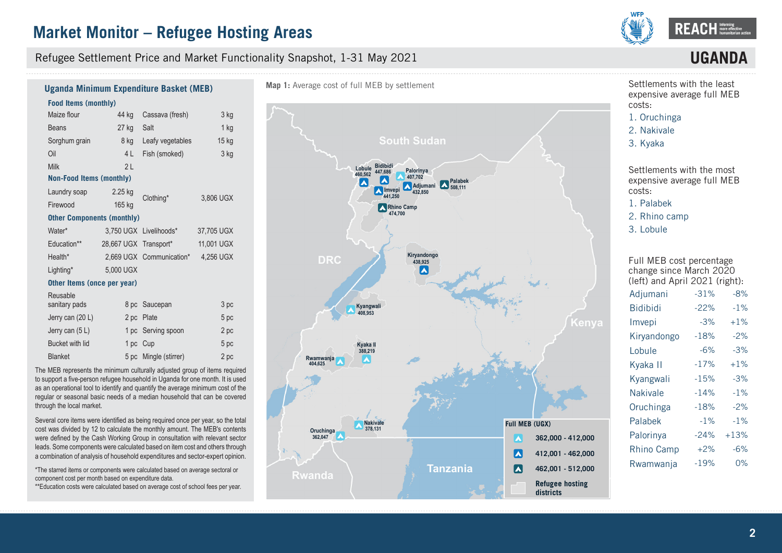Refugee Settlement Price and Market Functionality Snapshot, 1-31 May 2021



# **UGAN**

## **Uganda Minimum Expenditure Basket (MEB)**

#### **Food Items (monthly)**

| Maize flour                       | 44 kg                 | Cassava (fresh)          | 3 kg       |
|-----------------------------------|-----------------------|--------------------------|------------|
| <b>Beans</b>                      | 27 kg                 | Salt                     | $1$ kg     |
| Sorghum grain                     | 8 kg                  | Leafy vegetables         | $15$ kg    |
| Oil                               | 4 L                   | Fish (smoked)            | 3 kg       |
| Milk                              | 2L                    |                          |            |
| <b>Non-Food Items (monthly)</b>   |                       |                          |            |
| Laundry soap                      | $2.25$ kg             | Clothing*                | 3,806 UGX  |
| Firewood                          | 165 kg                |                          |            |
| <b>Other Components (monthly)</b> |                       |                          |            |
| Water*                            |                       | 3.750 UGX Livelihoods*   | 37,705 UGX |
| Education**                       | 28,667 UGX Transport* |                          | 11,001 UGX |
| Health*                           |                       | 2,669 UGX Communication* | 4,256 UGX  |
| Lighting*                         | 5,000 UGX             |                          |            |
| Other Items (once per year)       |                       |                          |            |
| Reusable                          |                       |                          |            |
| sanitary pads                     |                       | 8 pc Saucepan            | 3 pc       |
|                                   |                       |                          |            |

| Jerry can (20 L)  |          | 2 pc Plate            | 5 pc |
|-------------------|----------|-----------------------|------|
| Jerry can $(5 L)$ |          | 1 pc Serving spoon    | 2 pc |
| Bucket with lid   | 1 pc Cup |                       | 5 pc |
| <b>Blanket</b>    |          | 5 pc Mingle (stirrer) | 2 pc |

The MEB represents the minimum culturally adjusted group of items required to support a five-person refugee household in Uganda for one month. It is used as an operational tool to identify and quantify the average minimum cost of the regular or seasonal basic needs of a median household that can be covered through the local market.

Several core items were identified as being required once per year, so the total cost was divided by 12 to calculate the monthly amount. The MEB's contents were defined by the Cash Working Group in consultation with relevant sector leads. Some components were calculated based on item cost and others through a combination of analysis of household expenditures and sector-expert opinion.

\*The starred items or components were calculated based on average sectoral or component cost per month based on expenditure data.

\*\*Education costs were calculated based on average cost of school fees per year.



Settlements with the least expensive average full MEB costs:

1. Oruchinga

- 2. Nakivale
- 3. Kyaka

Settlements with the most expensive average full MEB costs:

1. Palabek

2. Rhino camp

3. Lobule

Full MEB cost percentage change since March 2020 (left) and April 2021 (right):

| Adjumani          | $-31%$ | $-8%$  |
|-------------------|--------|--------|
| <b>Bidibidi</b>   | $-22%$ | $-1%$  |
| Imvepi            | $-3%$  | $+1%$  |
| Kiryandongo       | $-18%$ | $-2%$  |
| Lobule            | $-6%$  | $-3%$  |
| Kyaka II          | $-17%$ | $+1\%$ |
| Kyangwali         | $-15%$ | $-3%$  |
| Nakivale          | $-14%$ | $-1%$  |
| Oruchinga         | $-18%$ | $-2%$  |
| Palabek           | $-1%$  | $-1%$  |
| Palorinya         | $-24%$ | $+13%$ |
| <b>Rhino Camp</b> | $+2%$  | $-6%$  |
| Rwamwanja         | $-19%$ | 0%     |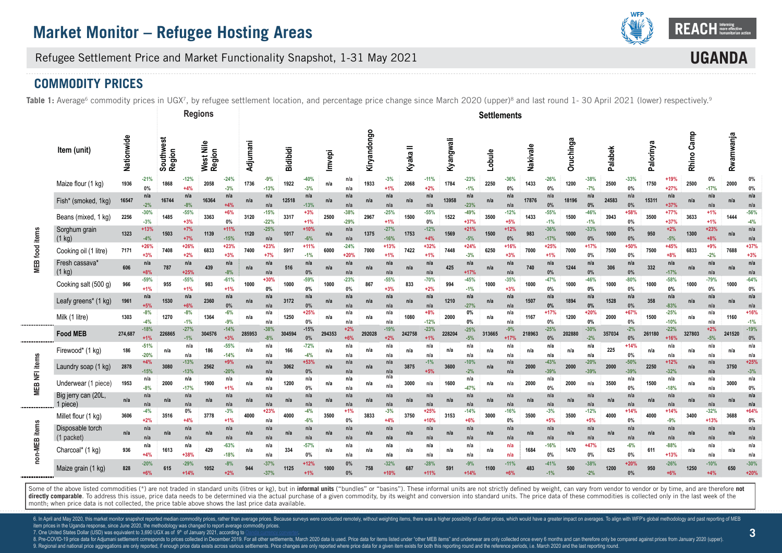

**UGAN** 

Refugee Settlement Price and Market Functionality Snapshot, 1-31 May 2021

## **COMMODITY PRICES**

Table 1: Average<sup>6</sup> commodity prices in UGX<sup>7</sup>, by refugee settlement location, and percentage price change since March 2020 (upper)<sup>8</sup> and last round 1- 30 April 2021 (lower) respectively.<sup>9</sup>

|                       |                                |            |                  |                     |                  | <b>Regions</b>      |                  |          |                  |                 |                 |        |                  |             |                  |          |                  |           |                  | <b>Settlements</b> |                 |          |                  |           |                  |         |                  |           |                  |            |                  |           |                         |
|-----------------------|--------------------------------|------------|------------------|---------------------|------------------|---------------------|------------------|----------|------------------|-----------------|-----------------|--------|------------------|-------------|------------------|----------|------------------|-----------|------------------|--------------------|-----------------|----------|------------------|-----------|------------------|---------|------------------|-----------|------------------|------------|------------------|-----------|-------------------------|
|                       | Item (unit)                    | Nationwide |                  | Southwest<br>Region |                  | West Nile<br>Region |                  | Adjumani |                  | <b>Bidibidi</b> |                 | Imvepi |                  | Kiryandongo |                  | Kyaka II |                  | Kyangwali |                  | Lobule             |                 | Nakivale |                  | Oruchinga |                  | Palabek |                  | Palorinya |                  | Rhino Camp |                  | Rwamwanja |                         |
|                       | Maize flour (1 kg)             | 1936       | $-21%$<br>$0\%$  | 1868                | -12%<br>$+4%$    | 2058                | $-24%$<br>$-3%$  | 1736     | $-9%$<br>$-13%$  | 1922            | $-40%$<br>$-3%$ | n/a    | n/a<br>n/a       | 1933        | $-3%$<br>$+1%$   | 2068     | $-11%$<br>$+2%$  | 1784      | $-23%$<br>$-1%$  | 2250               | $-36%$<br>$0\%$ | 1433     | $-26%$<br>0%     | 1200      | $-38%$<br>$-7%$  | 2500    | $-33%$<br>0%     | 1750      | $+19%$<br>$+27%$ | 2500       | 0%<br>$-17%$     | 2000      | 0%<br>0%                |
|                       | Fish* (smoked, 1kg)            | 16547      | n/a<br>$-2%$     | 16744               | n/a<br>$-8%$     | 16364               | n/a<br>$+4%$     | n/a      | n/a<br>n/a       | 12518           | n/a<br>$-13%$   | n/a    | n/a<br>n/a       | n/a         | n/a<br>n/a       | n/a      | n/a<br>n/a       | 13958     | n/a<br>$-23%$    | n/a                | n/a<br>n/a      | 17876    | n/a<br>0%        | 18196     | n/a<br>0%        | 24583   | n/a<br>$0\%$     | 15311     | n/a<br>$+37%$    | n/a        | n/a<br>n/a       | n/a       | n/a<br>n/a              |
|                       | Beans (mixed, 1 kg)            | 2256       | $-30%$<br>$-3%$  | 1485                | $-55%$<br>$+3%$  | 3363                | $+6%$<br>0%      | 3120     | $-15%$<br>$-22%$ | 3317            | $+3%$<br>$+1%$  | 2500   | $-38%$<br>$-29%$ | 2967        | $-25%$<br>$+1%$  | 1500     | $-55%$<br>$0\%$  | 1522      | $-49%$<br>$+37%$ | 3500               | $-12%$<br>$+5%$ | 1433     | $-55%$<br>$-1%$  | 1500      | $-46%$<br>$-1%$  | 3943    | +58%<br>0%       | 3500      | $+77%$<br>$+37%$ | 3633       | $+1%$<br>$+1%$   | 1444      | $-56%$<br>$-4%$         |
|                       | Sorghum grain<br>$(1$ kg)      | 1323       | $+13%$<br>$-4%$  | 1503                | $+7%$<br>$+7%$   | 1139                | $+11%$<br>$-15%$ | 1120     | $-25%$<br>n/a    | 1017            | $+10%$<br>$-6%$ | n/a    | n/a<br>n/a       | 1375        | $-27%$<br>$-16%$ | 1753     | $-12%$<br>$+4%$  | 1569      | $+21%$<br>$-5%$  | 1500               | $+12%$<br>$0\%$ | 983      | $-36%$<br>$-17%$ | 1000      | $-33%$<br>0%     | 1000    | 0%<br>0%         | 950       | $+2%$<br>$-5%$   | 1300       | $+23%$<br>$+8%$  | n/a       | n/a<br>n/a              |
| <b>MEB</b> food items | Cooking oil (1 litre)          | 7171       | $+26%$<br>$+3%$  | 7408                | $+26%$<br>$+2%$  | 6833                | $+23%$<br>$+3%$  | 7400     | $+23%$<br>$+7%$  | 5917            | $+11%$<br>$-1%$ | 6000   | $-24%$<br>$+20%$ | 7000        | $+13%$<br>$+1%$  | 7422     | $+32%$<br>$+1%$  | 7448      | $+24%$<br>$-3%$  | 6250               | $+16%$<br>$+3%$ | 7000     | $+25%$<br>$+1%$  | 7000      | $+17%$<br>0%     | 7500    | +50%<br>0%       | 7500      | $+45%$<br>$+8%$  | 6833       | $+9%$<br>$-2%$   | 7688      | $+37%$<br>$+3%$         |
|                       | Fresh cassava'<br>$(1$ kg)     | 606        | n/a<br>$+8%$     | 787                 | n/a<br>$+25%$    | 439                 | n/a<br>$-8%$     | n/a      | n/a<br>n/a       | 516             | n/a<br>0%       | n/a    | n/a<br>n/a       | n/a         | n/a<br>n/a       | n/a      | n/a<br>n/a       | 425       | n/a<br>$+17%$    | n/a                | n/a<br>n/a      | 740      | n/a<br>0%        | 1244      | n/a<br>0%        | 306     | n/a<br>$0\%$     | 332       | n/a<br>$-17%$    | n/a        | n/a<br>n/a       | n/a       | n/a<br>n/a              |
|                       | Cooking salt (500 g)           | 966        | $-59%$<br>$+1%$  | 955                 | $-55%$<br>$+1%$  | 983                 | $-61%$<br>$+1%$  | 1000     | $+30%$<br>0%     | 1000            | $-59%$<br>0%    | 1000   | $-23%$<br>$0\%$  | 867         | $-55%$<br>$+3%$  | 833      | $-70%$<br>$+2%$  | 994       | $-45%$<br>$-1%$  | 1000               | $-35%$<br>$+3%$ | 1000     | $-47%$<br>0%     | 1000      | $-46%$<br>0%     | 1000    | $-80%$<br>0%     | 1000      | $-58%$<br>$0\%$  | 1000       | $-79%$<br>0%     | 1000      | $-64%$<br>0%            |
|                       | Leafy greens* (1 kg)           | 1961       | n/a<br>$+5%$     | 1530                | n/a<br>$+6%$     | 2360                | n/a<br>0%        | n/a      | n/a<br>n/a       | 3172            | n/a<br>0%       | n/a    | n/a<br>n/a       | n/a         | n/a<br>n/a       | n/a      | n/a<br>n/a       | 1210      | n/a<br>$-27%$    | n/a                | n/a<br>n/a      | 1507     | n/a<br>0%        | 1894      | n/a<br>0%        | 1528    | n/a<br>0%        | 358       | n/a<br>$-83%$    | n/a        | n/a<br>n/a       | n/a       | n/a<br>n/a              |
|                       | Milk (1 litre)                 | 1303       | $-8%$<br>$-4%$   | 1270                | $-8%$<br>$-1%$   | 1364                | $-6%$<br>$-9%$   | n/a      | n/a<br>n/a       | 1250            | $+25%$<br>0%    | n/a    | n/a<br>n/a       | n/a         | n/a<br>n/a       | 1080     | $+8%$<br>$-12%$  | 2000      | 0%<br>0%         | n/a                | n/a<br>n/a      | 1167     | $+17%$<br>0%     | 1200      | $+20%$<br>0%     | 2000    | $+67%$<br>0%     | 1500      | $-25%$<br>$-10%$ | n/a        | n/a<br>n/a       | 1160      | $+16%$<br>$-1%$         |
|                       | <b>Food MEB</b>                | 274,687    | $-18%$<br>$+1%$  | 226865              | $-27%$<br>$-1%$  | 304576              | $-14%$<br>$+3%$  | 285953   | $-38%$<br>$-8%$  | 304594          | $-15%$<br>0%    | 294353 | $+2%$<br>$+6%$   | 292028      | $-19%$<br>$+2%$  | 242758   | $-23%$           | 228204    | $-25%$<br>$-5%$  | 313665             | $-9%$<br>$+17°$ | 218963   | $-25%$<br>0%     | 202880    | $-30%$<br>$-2%$  | 357034  | $-2%$<br>0%      | 261180    | $-22%$<br>$+16%$ | 327803     | $+2%$<br>$-5%$   | 241520    | $-19%$<br>0%            |
|                       | Firewood* (1 kg)               | 186        | $-51%$<br>$-20%$ | n/a                 | n/a<br>n/a       | 186                 | $-55%$<br>$-14%$ | n/a      | n/a<br>n/a       | 166             | $-72%$<br>$-4%$ | n/a    | n/a<br>n/a       | n/a         | n/a<br>n/a       | n/a      | n/a<br>n/a       | n/a       | n/a<br>n/a       | n/a                | n/a<br>n/a      | n/a      | n/a<br>n/a       | n/a       | n/a<br>n/a       | 225     | $+14%$<br>0%     | n/a       | n/a<br>n/a       | n/a        | n/a<br>n/a       | n/a       | n/a<br>n/a              |
|                       | Laundry soap (1 kg)            | 2878       | +4%<br>$-15%$    | 3080                | $-13%$<br>$-13%$ | 2562                | $+9%$<br>$-20%$  | n/a      | n/a<br>n/a       | 3062            | $+53%$<br>0%    | n/a    | n/a<br>n/a       | n/a         | n/a<br>n/a       | 3875     | $-1%$<br>$+5%$   | 3600      | $-10%$<br>$-2%$  | n/a                | n/a<br>n/a      | 2000     | $-43%$<br>$-39%$ | 2000      | $-20%$<br>$-39%$ | 2000    | $-50%$<br>$-39%$ | 2250      | $+12%$<br>$-32%$ | n/a        | n/a<br>n/a       | 3750      | $+25%$<br>$-3%$         |
| <b>MEB NFI items</b>  | Underwear (1 piece)            | 1953       | n/a<br>$-8%$     | 2000                | n/a<br>$-17%$    | 1900                | n/a<br>+1%       | n/a      | n/a<br>n/a       | 1200            | n/a<br>0%       | n/a    | n/a<br>n/a       | n/a         | n/a<br>n/a       | 3000     | n/a              | 1600      | n/a<br>$-47%$    | n/a                | n/a             | 2000     | n/a<br>0%        | 2000      | n/a              | 3500    | n/a<br>0%        | 1500      | n/a<br>$-18%$    | n/a        | n/a<br>n/a       | 3000      | n/a<br>0%               |
|                       | Big jerry can (20L,<br>1 piece | n/a        | n/a<br>n/a       | n/a                 | n/a<br>n/a       | n/a                 | n/a<br>n/a       | n/a      | n/a<br>n/a       | n/a             | n/a<br>n/a      | n/a    | n/a<br>n/a       | n/a         | n/a<br>n/a       | n/a      | n/a<br>n/a       | n/a       | n/a<br>n/a       | n/a                | n/a<br>n/a      | n/a      | n/a<br>n/a       | n/a       | n/a<br>n/a       | n/a     | n/a<br>n/a       | n/a       | n/a<br>n/a       | n/a        | n/a<br>n/a       | n/a       | n/a<br>n/a              |
|                       | Millet flour (1 kg)            | 3606       | $-4%$<br>$+2%$   | 3516                | $0\%$<br>$+4%$   | 3778                | $-3%$<br>$+1%$   | 4000     | $+23%$<br>n/a    | 4000            | $-4%$<br>$-6%$  | 3500   | $+1%$<br>$0\%$   | 3833        | $-3%$<br>$+4%$   | 3750     | $+25%$<br>$+10%$ | 3153      | $-14%$<br>$+6%$  | 3000               | $-16%$<br>0%    | 3500     | $-3%$<br>$+5%$   | 3500      | $-12%$<br>$+5%$  | 4000    | $+14%$<br>0%     | 4000      | $+14%$<br>$-9%$  | 3400       | $-32%$<br>$+13%$ | 3688      | $+64%$<br>0%            |
| items                 | Disposable torch<br>(1 packet) | n/a        | n/a<br>n/a       | n/a                 | n/a<br>n/a       | n/a                 | n/a<br>n/a       | n/a      | n/a<br>n/a       | n/a             | n/a<br>n/a      | n/a    | n/a<br>n/a       | n/a         | n/a<br>n/a       | n/a      | n/a<br>n/a       | n/a       | n/a<br>n/a       | n/a                | n/a<br>n/a      | n/a      | n/a<br>n/a       | n/a       | n/a<br>n/a       | n/a     | n/a<br>n/a       | n/a       | n/a<br>n/a       | n/a        | n/a<br>n/a       | n/a       | n/a<br>n/a              |
| non-MEB               | Charcoal* (1 kg)               | 936        | n/a<br>$+4%$     | 1613                | n/a<br>+38%      | 429                 | $-63%$<br>$-18%$ | n/a      | n/a<br>n/a       | 334             | $-57%$<br>0%    | n/a    | n/a<br>n/a       | n/a         | n/a<br>n/a       | n/a      | n/a<br>n/a       | n/a       | n/a<br>n/a       | n/a                | n/a<br>n/a      | 1684     | $-16%$<br>0%     | 1470      | $+47%$<br>$0\%$  | 625     | $-6%$<br>0%      | 611       | $-88%$<br>$+13%$ | n/a        | n/a<br>n/a       | n/a       | n/a<br>n/a              |
|                       | Maize grain (1 kg)             | 828        | $-20%$<br>$+6%$  | 615                 | $-29%$<br>$+14%$ | 1052                | $-8%$<br>$+2%$   | 944      | $-37%$<br>$-37%$ | 1125            | $+12%$<br>$+1%$ | 1000   | 0%<br>$0\%$      | 758         | $-32%$<br>$+10%$ | 687      | $-28%$<br>$+11%$ | 591       | $-9%$<br>$+14%$  | 1100               | $-11%$<br>+6%   | 483      | $-41%$<br>$-1%$  | 500       | $-38%$<br>$-2%$  | 1200    | $+20%$<br>0%     | 950       | $-26%$<br>$+6%$  | 1250       | $-10%$<br>$+4%$  | 650       | $-30%$<br>$+20^{\circ}$ |

Some of the above listed commodities (\*) are not traded in standard units (litres or kg), but in informal units ("bundles" or "basins"). These informal units are not strictly defined by weight. can vary from vendor to vend directly comparable. To address this issue, price data needs to be determined via the actual purchase of a given commodity, by its weight and conversion into standard units. The price data of these commodities is collected month; when price data is not collected, the price table above shows the last price data available.

6. In April and May 2020, this market monitor snapshot reported median commodity prices, rather than average prices. Because surveys were conducted remotely, without weighting items, there was a higher possibility of outli item prices in the Uganda response, since June 2020, the methodology was changed to report average commodity prices.

7. One United States Dollar (USD) was equivalent to 3,690 UGX as of 9<sup>th</sup> of January 2021, according to

8. Pre-COVID-19 price data for Adjumani settlement corresponds to prices collected in December 2019. For all other settlements, March 2020 data is used. Price data for items listed under "other MEB items" and underwear are 9. Regional and national price aggregations are only reported, if enough price data exists across various settlements. Price changes are only reported where price data for a given item exists for both this reporting round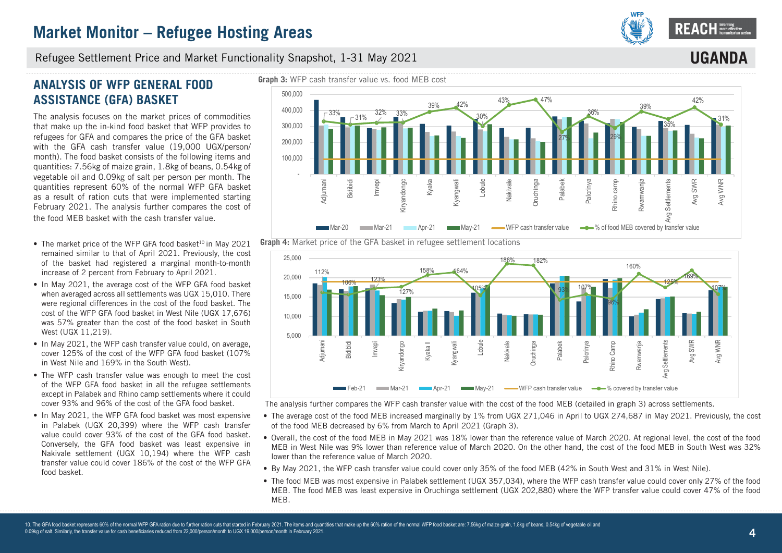

**UGANDA**

Refugee Settlement Price and Market Functionality Snapshot, 1-31 May 2021

# **ANALYSIS OF WFP GENERAL FOOD ASSISTANCE (GFA) BASKET**

The analysis focuses on the market prices of commodities that make up the in-kind food basket that WFP provides to refugees for GFA and compares the price of the GFA basket with the GFA cash transfer value (19,000 UGX/person/ month). The food basket consists of the following items and quantities: 7.56kg of maize grain, 1.8kg of beans, 0.54kg of vegetable oil and 0.09kg of salt per person per month. The quantities represent 60% of the normal WFP GFA basket as a result of ration cuts that were implemented starting February 2021. The analysis further compares the cost of the food MEB basket with the cash transfer value.

- The market price of the WFP GFA food basket<sup>10</sup> in May 2021 remained similar to that of April 2021. Previously, the cost of the basket had registered a marginal month-to-month increase of 2 percent from February to April 2021.
- In May 2021, the average cost of the WFP GFA food basket when averaged across all settlements was UGX 15,010. There were regional differences in the cost of the food basket. The cost of the WFP GFA food basket in West Nile (UGX 17,676) was 57% greater than the cost of the food basket in South West (UGX 11,219).
- In May 2021, the WFP cash transfer value could, on average, cover 125% of the cost of the WFP GFA food basket (107% in West Nile and 169% in the South West).
- The WFP cash transfer value was enough to meet the cost of the WFP GFA food basket in all the refugee settlements except in Palabek and Rhino camp settlements where it could cover 93% and 96% of the cost of the GFA food basket.
- In May 2021, the WFP GFA food basket was most expensive in Palabek (UGX 20,399) where the WFP cash transfer value could cover 93% of the cost of the GFA food basket. Conversely, the GFA food basket was least expensive in Nakivale settlement (UGX 10,194) where the WFP cash transfer value could cover 186% of the cost of the WFP GFA food basket.







The analysis further compares the WFP cash transfer value with the cost of the food MEB (detailed in graph 3) across settlements.

- The average cost of the food MEB increased marginally by 1% from UGX 271,046 in April to UGX 274,687 in May 2021. Previously, the cost of the food MEB decreased by 6% from March to April 2021 (Graph 3).
- Overall, the cost of the food MEB in May 2021 was 18% lower than the reference value of March 2020. At regional level, the cost of the food MEB in West Nile was 9% lower than reference value of March 2020. On the other hand, the cost of the food MEB in South West was 32% lower than the reference value of March 2020.
- By May 2021, the WFP cash transfer value could cover only 35% of the food MEB (42% in South West and 31% in West Nile).
- The food MEB was most expensive in Palabek settlement (UGX 357,034), where the WFP cash transfer value could cover only 27% of the food MEB. The food MEB was least expensive in Oruchinga settlement (UGX 202,880) where the WFP transfer value could cover 47% of the food MEB.